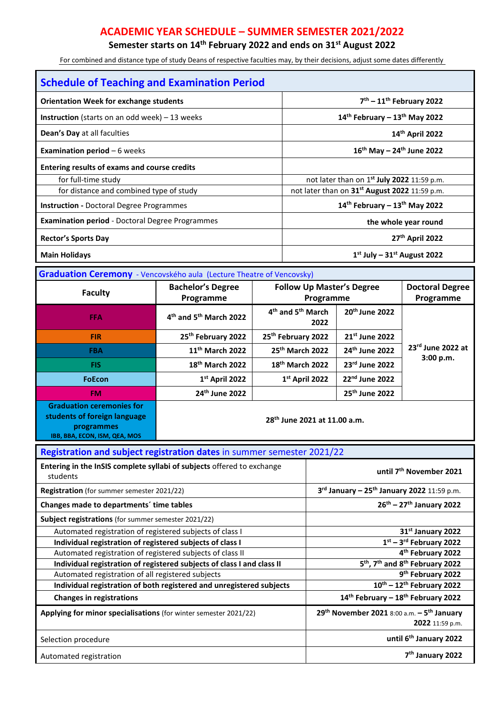## **ACADEMIC YEAR SCHEDULE – SUMMER SEMESTER 2021/2022**

**Semester starts on 14th February 2022 and ends on 31st August 2022** 

For combined and distance type of study Deans of respective faculties may, by their decisions, adjust some dates differently

| <b>Schedule of Teaching and Examination Period</b>                                                              |                                                |                                                   |                                                        |                                            |                        |                                  |  |
|-----------------------------------------------------------------------------------------------------------------|------------------------------------------------|---------------------------------------------------|--------------------------------------------------------|--------------------------------------------|------------------------|----------------------------------|--|
| <b>Orientation Week for exchange students</b>                                                                   |                                                |                                                   | $7th - 11th$ February 2022                             |                                            |                        |                                  |  |
| <b>Instruction</b> (starts on an odd week) $-13$ weeks                                                          |                                                |                                                   | $14th$ February - $13th$ May 2022                      |                                            |                        |                                  |  |
| Dean's Day at all faculties                                                                                     |                                                |                                                   | 14th April 2022                                        |                                            |                        |                                  |  |
| <b>Examination period</b> $-6$ weeks                                                                            |                                                |                                                   | $16^{th}$ May - 24 <sup>th</sup> June 2022             |                                            |                        |                                  |  |
| <b>Entering results of exams and course credits</b>                                                             |                                                |                                                   |                                                        |                                            |                        |                                  |  |
| for full-time study                                                                                             |                                                |                                                   |                                                        | not later than on 1st July 2022 11:59 p.m. |                        |                                  |  |
| for distance and combined type of study                                                                         |                                                |                                                   | not later than on 31st August 2022 11:59 p.m.          |                                            |                        |                                  |  |
| <b>Instruction - Doctoral Degree Programmes</b>                                                                 |                                                |                                                   | $14th$ February - $13th$ May 2022                      |                                            |                        |                                  |  |
| <b>Examination period</b> - Doctoral Degree Programmes                                                          |                                                |                                                   | the whole year round                                   |                                            |                        |                                  |  |
| <b>Rector's Sports Day</b>                                                                                      |                                                |                                                   | 27 <sup>th</sup> April 2022                            |                                            |                        |                                  |  |
| <b>Main Holidays</b>                                                                                            |                                                |                                                   | $1st$ July - $31st$ August 2022                        |                                            |                        |                                  |  |
| Graduation Ceremony - Vencovského aula (Lecture Theatre of Vencovsky)                                           |                                                |                                                   |                                                        |                                            |                        |                                  |  |
|                                                                                                                 | <b>Bachelor's Degree</b>                       |                                                   | <b>Follow Up Master's Degree</b>                       |                                            | <b>Doctoral Degree</b> |                                  |  |
| <b>Faculty</b>                                                                                                  | Programme                                      |                                                   | Programme<br>Programme                                 |                                            |                        |                                  |  |
| <b>FFA</b>                                                                                                      | 4 <sup>th</sup> and 5 <sup>th</sup> March 2022 | 4 <sup>th</sup> and 5 <sup>th</sup> March<br>2022 |                                                        | 20 <sup>th</sup> June 2022                 |                        |                                  |  |
| <b>FIR</b>                                                                                                      | 25th February 2022                             |                                                   | 25th February 2022                                     |                                            | 21st June 2022         | $23rd$ June 2022 at<br>3:00 p.m. |  |
| <b>FBA</b>                                                                                                      | 11 <sup>th</sup> March 2022                    |                                                   | 25th March 2022                                        |                                            | 24th June 2022         |                                  |  |
| <b>FIS</b>                                                                                                      | 18 <sup>th</sup> March 2022                    |                                                   | 18 <sup>th</sup> March 2022                            |                                            | 23rd June 2022         |                                  |  |
| <b>FoEcon</b>                                                                                                   | 1st April 2022                                 |                                                   | 1st April 2022                                         |                                            | 22nd June 2022         |                                  |  |
| <b>FM</b>                                                                                                       | 24th June 2022                                 |                                                   |                                                        | 25 <sup>th</sup> June 2022                 |                        |                                  |  |
| <b>Graduation ceremonies for</b><br>students of foreign language<br>programmes<br>IBB, BBA, ECON, ISM, QEA, MOS | 28 <sup>th</sup> June 2021 at 11.00 a.m.       |                                                   |                                                        |                                            |                        |                                  |  |
| Registration and subject registration dates in summer semester 2021/22                                          |                                                |                                                   |                                                        |                                            |                        |                                  |  |
| Entering in the InSIS complete syllabi of subjects offered to exchange<br>students                              |                                                |                                                   | until 7 <sup>th</sup> November 2021                    |                                            |                        |                                  |  |
| Registration (for summer semester 2021/22)                                                                      |                                                |                                                   | 3rd January - 25 <sup>th</sup> January 2022 11:59 p.m. |                                            |                        |                                  |  |
| Changes made to departments' time tables                                                                        |                                                |                                                   | $26^{th} - 27^{th}$ January 2022                       |                                            |                        |                                  |  |
| Subject registrations (for summer semester 2021/22)                                                             |                                                |                                                   |                                                        |                                            |                        |                                  |  |
|                                                                                                                 |                                                |                                                   |                                                        |                                            |                        |                                  |  |

| <b>Subject registrations</b> (for summer semester 2021/22)             |                                                                        |
|------------------------------------------------------------------------|------------------------------------------------------------------------|
| Automated registration of registered subjects of class I               | 31 <sup>st</sup> January 2022                                          |
| Individual registration of registered subjects of class I              | $1st - 3rd$ February 2022                                              |
| Automated registration of registered subjects of class II              | 4 <sup>th</sup> February 2022                                          |
| Individual registration of registered subjects of class I and class II | 5 <sup>th</sup> , 7 <sup>th</sup> and 8 <sup>th</sup> February 2022    |
| Automated registration of all registered subjects                      | 9 <sup>th</sup> February 2022                                          |
| Individual registration of both registered and unregistered subjects   | $10^{\text{th}} - 12^{\text{th}}$ February 2022                        |
| <b>Changes in registrations</b>                                        | 14th February - 18th February 2022                                     |
| Applying for minor specialisations (for winter semester 2021/22)       | $29^{th}$ November 2021 8:00 a.m. $-5^{th}$ January<br>2022 11:59 p.m. |
| Selection procedure                                                    | until 6 <sup>th</sup> January 2022                                     |
| Automated registration                                                 | 7 <sup>th</sup> January 2022                                           |